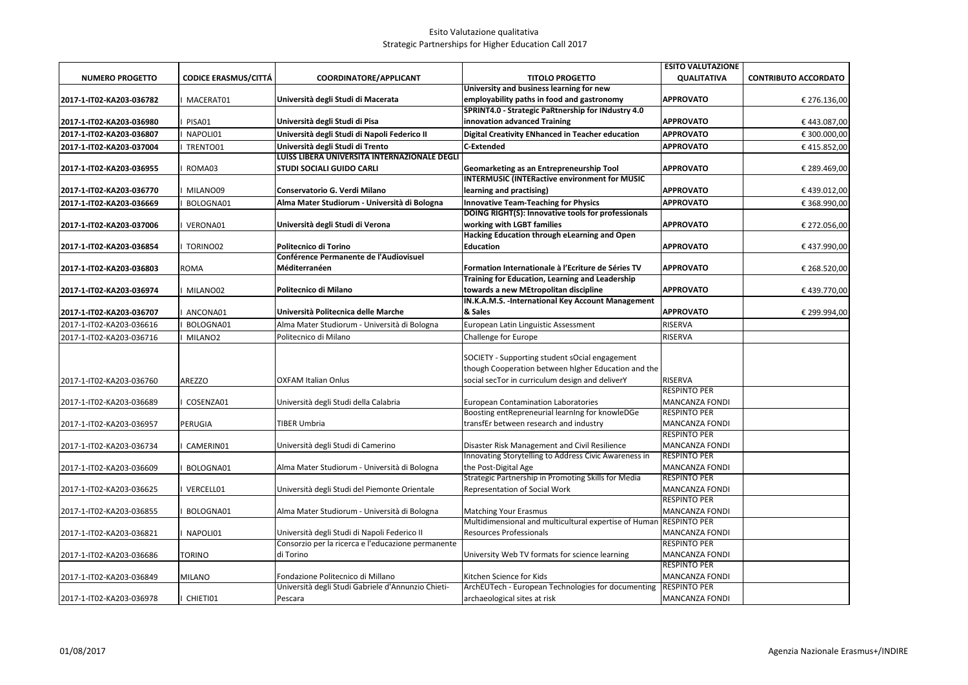|                          |                             |                                                    |                                                                                                       | <b>ESITO VALUTAZIONE</b> |                             |
|--------------------------|-----------------------------|----------------------------------------------------|-------------------------------------------------------------------------------------------------------|--------------------------|-----------------------------|
| <b>NUMERO PROGETTO</b>   | <b>CODICE ERASMUS/CITTÁ</b> | COORDINATORE/APPLICANT                             | <b>TITOLO PROGETTO</b>                                                                                | <b>QUALITATIVA</b>       | <b>CONTRIBUTO ACCORDATO</b> |
|                          |                             |                                                    | University and business learning for new                                                              |                          |                             |
| 2017-1-IT02-KA203-036782 | MACERAT01                   | Università degli Studi di Macerata                 | employability paths in food and gastronomy                                                            | <b>APPROVATO</b>         | € 276.136,00                |
|                          |                             |                                                    | SPRINT4.0 - Strategic PaRtnership for INdustry 4.0                                                    |                          |                             |
| 2017-1-IT02-KA203-036980 | PISA01                      | Università degli Studi di Pisa                     | innovation advanced Training                                                                          | <b>APPROVATO</b>         | €443.087,00                 |
| 2017-1-IT02-KA203-036807 | NAPOLI01                    | Università degli Studi di Napoli Federico II       | Digital Creativity ENhanced in Teacher education                                                      | <b>APPROVATO</b>         | € 300.000,00                |
| 2017-1-IT02-KA203-037004 | TRENTO01                    | Università degli Studi di Trento                   | C-Extended                                                                                            | <b>APPROVATO</b>         | €415.852,00                 |
|                          |                             | LUISS LIBERA UNIVERSITÁ INTERNAZIONALE DEGLI       |                                                                                                       |                          |                             |
| 2017-1-IT02-KA203-036955 | ROMA03                      | <b>STUDI SOCIALI GUIDO CARLI</b>                   | Geomarketing as an Entrepreneurship Tool                                                              | <b>APPROVATO</b>         | € 289.469,00                |
|                          |                             |                                                    | <b>INTERMUSIC (INTERactive environment for MUSIC</b>                                                  |                          |                             |
| 2017-1-IT02-KA203-036770 | MILANO09                    | Conservatorio G. Verdi Milano                      | learning and practising)                                                                              | <b>APPROVATO</b>         | €439.012,00                 |
| 2017-1-IT02-KA203-036669 | BOLOGNA01                   | Alma Mater Studiorum - Università di Bologna       | <b>Innovative Team-Teaching for Physics</b>                                                           | <b>APPROVATO</b>         | € 368.990,00                |
|                          |                             |                                                    | DOING RIGHT(S): Innovative tools for professionals                                                    |                          |                             |
| 2017-1-IT02-KA203-037006 | VERONA01                    | Università degli Studi di Verona                   | working with LGBT families                                                                            | <b>APPROVATO</b>         | € 272.056,00                |
|                          |                             |                                                    | Hacking Education through eLearning and Open                                                          |                          |                             |
| 2017-1-IT02-KA203-036854 | TORINO02                    | Politecnico di Torino                              | <b>Education</b>                                                                                      | <b>APPROVATO</b>         | €437.990,00                 |
|                          |                             | <b>Conférence Permanente de l'Audiovisuel</b>      |                                                                                                       |                          |                             |
| 2017-1-IT02-KA203-036803 | ROMA                        | Méditerranéen                                      | Formation Internationale à l'Ecriture de Séries TV                                                    | <b>APPROVATO</b>         | € 268.520,00                |
|                          |                             |                                                    | Training for Education, Learning and Leadership                                                       |                          |                             |
| 2017-1-IT02-KA203-036974 | MILANO02                    | Politecnico di Milano                              | towards a new MEtropolitan discipline                                                                 | <b>APPROVATO</b>         | €439.770,00                 |
|                          |                             | Università Politecnica delle Marche                | IN.K.A.M.S. - International Key Account Management<br>& Sales                                         | <b>APPROVATO</b>         |                             |
| 2017-1-IT02-KA203-036707 | ANCONA01                    |                                                    |                                                                                                       |                          | € 299.994,00                |
| 2017-1-IT02-KA203-036616 | BOLOGNA01                   | Alma Mater Studiorum - Università di Bologna       | European Latin Linguistic Assessment                                                                  | RISERVA                  |                             |
| 2017-1-IT02-KA203-036716 | MILANO <sub>2</sub>         | Politecnico di Milano                              | Challenge for Europe                                                                                  | RISERVA                  |                             |
|                          |                             |                                                    |                                                                                                       |                          |                             |
|                          |                             |                                                    | SOCIETY - Supporting student sOcial engagement<br>though Cooperation between higher Education and the |                          |                             |
|                          |                             | <b>OXFAM Italian Onlus</b>                         | social secTor in curriculum design and deliverY                                                       | RISERVA                  |                             |
| 2017-1-IT02-KA203-036760 | AREZZO                      |                                                    |                                                                                                       | <b>RESPINTO PER</b>      |                             |
| 2017-1-IT02-KA203-036689 | COSENZA01                   | Università degli Studi della Calabria              | <b>European Contamination Laboratories</b>                                                            | <b>MANCANZA FONDI</b>    |                             |
|                          |                             |                                                    | Boosting entRepreneurial learning for knowleDGe                                                       | <b>RESPINTO PER</b>      |                             |
| 2017-1-IT02-KA203-036957 | PERUGIA                     | TIBER Umbria                                       | transfEr between research and industry                                                                | MANCANZA FONDI           |                             |
|                          |                             |                                                    |                                                                                                       | <b>RESPINTO PER</b>      |                             |
| 2017-1-IT02-KA203-036734 | CAMERIN01                   | Università degli Studi di Camerino                 | Disaster Risk Management and Civil Resilience                                                         | <b>MANCANZA FONDI</b>    |                             |
|                          |                             |                                                    | Innovating Storytelling to Address Civic Awareness in                                                 | <b>RESPINTO PER</b>      |                             |
| 2017-1-IT02-KA203-036609 | BOLOGNA01                   | Alma Mater Studiorum - Università di Bologna       | the Post-Digital Age                                                                                  | MANCANZA FONDI           |                             |
|                          |                             |                                                    | Strategic Partnership in Promoting Skills for Media                                                   | <b>RESPINTO PER</b>      |                             |
| 2017-1-IT02-KA203-036625 | VERCELL01                   | Università degli Studi del Piemonte Orientale      | Representation of Social Work                                                                         | <b>MANCANZA FONDI</b>    |                             |
|                          |                             |                                                    |                                                                                                       | RESPINTO PER             |                             |
| 2017-1-IT02-KA203-036855 | BOLOGNA01                   | Alma Mater Studiorum - Università di Bologna       | <b>Matching Your Erasmus</b>                                                                          | <b>MANCANZA FONDI</b>    |                             |
|                          |                             |                                                    | Multidimensional and multicultural expertise of Human RESPINTO PER                                    |                          |                             |
| 2017-1-IT02-KA203-036821 | NAPOLI01                    | Università degli Studi di Napoli Federico II       | <b>Resources Professionals</b>                                                                        | <b>MANCANZA FONDI</b>    |                             |
|                          |                             | Consorzio per la ricerca e l'educazione permanente |                                                                                                       | <b>RESPINTO PER</b>      |                             |
| 2017-1-IT02-KA203-036686 | TORINO                      | di Torino                                          | University Web TV formats for science learning                                                        | <b>MANCANZA FONDI</b>    |                             |
|                          |                             |                                                    |                                                                                                       | RESPINTO PER             |                             |
| 2017-1-IT02-KA203-036849 | MILANO                      | Fondazione Politecnico di Millano                  | Kitchen Science for Kids                                                                              | MANCANZA FONDI           |                             |
|                          |                             | Università degli Studi Gabriele d'Annunzio Chieti- | ArchEUTech - European Technologies for documenting                                                    | <b>RESPINTO PER</b>      |                             |
| 2017-1-IT02-KA203-036978 | CHIETI01                    | Pescara                                            | archaeological sites at risk                                                                          | <b>MANCANZA FONDI</b>    |                             |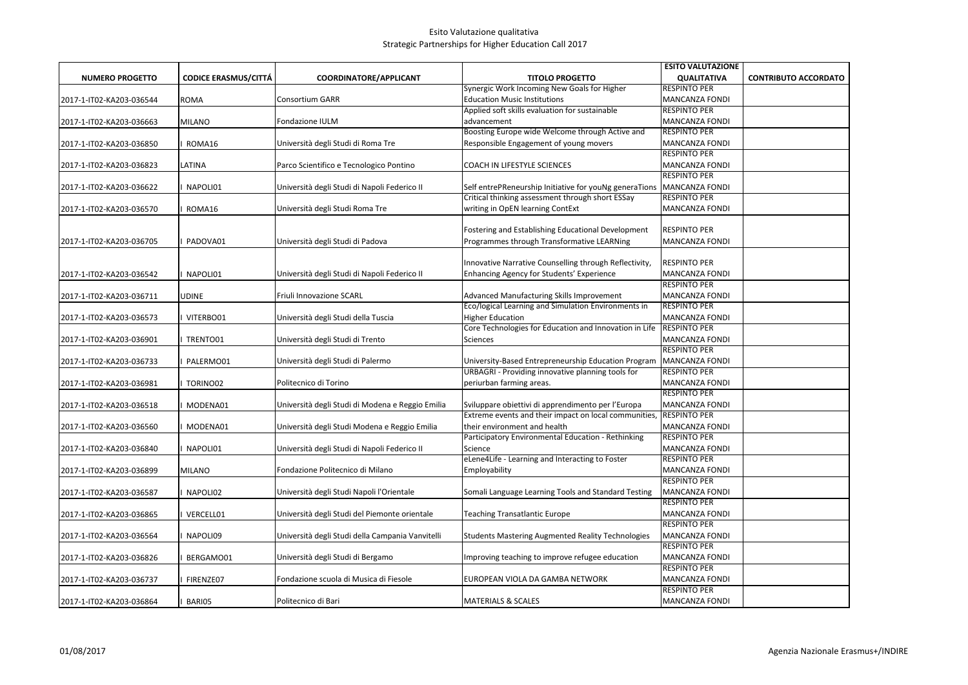|                          |                             |                                                  |                                                                                                  | <b>ESITO VALUTAZIONE</b>                     |                             |
|--------------------------|-----------------------------|--------------------------------------------------|--------------------------------------------------------------------------------------------------|----------------------------------------------|-----------------------------|
| <b>NUMERO PROGETTO</b>   | <b>CODICE ERASMUS/CITTÁ</b> | COORDINATORE/APPLICANT                           | <b>TITOLO PROGETTO</b>                                                                           | <b>QUALITATIVA</b>                           | <b>CONTRIBUTO ACCORDATO</b> |
|                          |                             |                                                  | Synergic Work Incoming New Goals for Higher                                                      | <b>RESPINTO PER</b>                          |                             |
| 2017-1-IT02-KA203-036544 | ROMA                        | Consortium GARR                                  | <b>Education Music Institutions</b>                                                              | <b>MANCANZA FONDI</b>                        |                             |
|                          |                             |                                                  | Applied soft skills evaluation for sustainable                                                   | <b>RESPINTO PER</b>                          |                             |
| 2017-1-IT02-KA203-036663 | MILANO                      | Fondazione IULM                                  | advancement                                                                                      | <b>MANCANZA FONDI</b>                        |                             |
|                          |                             |                                                  | Boosting Europe wide Welcome through Active and                                                  | <b>RESPINTO PER</b>                          |                             |
| 2017-1-IT02-KA203-036850 | ROMA16                      | Università degli Studi di Roma Tre               | Responsible Engagement of young movers                                                           | <b>MANCANZA FONDI</b>                        |                             |
|                          |                             |                                                  |                                                                                                  | <b>RESPINTO PER</b>                          |                             |
| 2017-1-IT02-KA203-036823 | LATINA                      | Parco Scientifico e Tecnologico Pontino          | COACH IN LIFESTYLE SCIENCES                                                                      | <b>MANCANZA FONDI</b>                        |                             |
|                          |                             |                                                  |                                                                                                  | <b>RESPINTO PER</b>                          |                             |
| 2017-1-IT02-KA203-036622 | NAPOLI01                    | Università degli Studi di Napoli Federico II     | Self entrePReneurship Initiative for youNg generaTions                                           | <b>MANCANZA FONDI</b>                        |                             |
|                          |                             |                                                  | Critical thinking assessment through short ESSay                                                 | <b>RESPINTO PER</b>                          |                             |
| 2017-1-IT02-KA203-036570 | ROMA16                      | Università degli Studi Roma Tre                  | writing in OpEN learning ContExt                                                                 | MANCANZA FONDI                               |                             |
|                          |                             |                                                  |                                                                                                  |                                              |                             |
|                          |                             |                                                  | Fostering and Establishing Educational Development                                               | <b>RESPINTO PER</b>                          |                             |
| 2017-1-IT02-KA203-036705 | PADOVA01                    | Università degli Studi di Padova                 | Programmes through Transformative LEARNing                                                       | <b>MANCANZA FONDI</b>                        |                             |
|                          |                             |                                                  |                                                                                                  |                                              |                             |
|                          |                             |                                                  | Innovative Narrative Counselling through Reflectivity,                                           | <b>RESPINTO PER</b>                          |                             |
| 2017-1-IT02-KA203-036542 | NAPOLI01                    | Università degli Studi di Napoli Federico II     | Enhancing Agency for Students' Experience                                                        | <b>MANCANZA FONDI</b><br><b>RESPINTO PER</b> |                             |
|                          | UDINE                       |                                                  |                                                                                                  | <b>MANCANZA FONDI</b>                        |                             |
| 2017-1-IT02-KA203-036711 |                             | Friuli Innovazione SCARL                         | Advanced Manufacturing Skills Improvement<br>Eco/logical Learning and Simulation Environments in | <b>RESPINTO PER</b>                          |                             |
| 2017-1-IT02-KA203-036573 | VITERBO01                   | Università degli Studi della Tuscia              | <b>Higher Education</b>                                                                          | <b>MANCANZA FONDI</b>                        |                             |
|                          |                             |                                                  | Core Technologies for Education and Innovation in Life                                           | <b>RESPINTO PER</b>                          |                             |
| 2017-1-IT02-KA203-036901 | TRENTO01                    | Università degli Studi di Trento                 | Sciences                                                                                         | MANCANZA FONDI                               |                             |
|                          |                             |                                                  |                                                                                                  | <b>RESPINTO PER</b>                          |                             |
| 2017-1-IT02-KA203-036733 | PALERMO01                   | Università degli Studi di Palermo                | University-Based Entrepreneurship Education Program                                              | <b>MANCANZA FONDI</b>                        |                             |
|                          |                             |                                                  | URBAGRI - Providing innovative planning tools for                                                | <b>RESPINTO PER</b>                          |                             |
| 2017-1-IT02-KA203-036981 | TORINO02                    | Politecnico di Torino                            | periurban farming areas.                                                                         | <b>MANCANZA FONDI</b>                        |                             |
|                          |                             |                                                  |                                                                                                  | <b>RESPINTO PER</b>                          |                             |
| 2017-1-IT02-KA203-036518 | MODENA01                    | Università degli Studi di Modena e Reggio Emilia | Sviluppare obiettivi di apprendimento per l'Europa                                               | <b>MANCANZA FONDI</b>                        |                             |
|                          |                             |                                                  | Extreme events and their impact on local communities,                                            | <b>RESPINTO PER</b>                          |                             |
| 2017-1-IT02-KA203-036560 | MODENA01                    | Università degli Studi Modena e Reggio Emilia    | their environment and health                                                                     | <b>MANCANZA FONDI</b>                        |                             |
|                          |                             |                                                  | Participatory Environmental Education - Rethinking                                               | <b>RESPINTO PER</b>                          |                             |
| 2017-1-IT02-KA203-036840 | NAPOLI01                    | Università degli Studi di Napoli Federico II     | Science                                                                                          | <b>MANCANZA FONDI</b>                        |                             |
|                          |                             |                                                  | eLene4Life - Learning and Interacting to Foster                                                  | <b>RESPINTO PER</b>                          |                             |
| 2017-1-IT02-KA203-036899 | MILANO                      | Fondazione Politecnico di Milano                 | Employability                                                                                    | <b>MANCANZA FONDI</b>                        |                             |
|                          |                             |                                                  |                                                                                                  | <b>RESPINTO PER</b>                          |                             |
| 2017-1-IT02-KA203-036587 | NAPOLI02                    | Università degli Studi Napoli l'Orientale        | Somali Language Learning Tools and Standard Testing                                              | <b>MANCANZA FONDI</b>                        |                             |
|                          |                             |                                                  |                                                                                                  | RESPINTO PER                                 |                             |
| 2017-1-IT02-KA203-036865 | VERCELL01                   | Università degli Studi del Piemonte orientale    | <b>Teaching Transatlantic Europe</b>                                                             | <b>MANCANZA FONDI</b>                        |                             |
|                          |                             |                                                  |                                                                                                  | RESPINTO PER                                 |                             |
| 2017-1-IT02-KA203-036564 | NAPOLI09                    | Università degli Studi della Campania Vanvitelli | <b>Students Mastering Augmented Reality Technologies</b>                                         | <b>MANCANZA FONDI</b>                        |                             |
|                          |                             |                                                  |                                                                                                  | <b>RESPINTO PER</b>                          |                             |
| 2017-1-IT02-KA203-036826 | BERGAMO01                   | Università degli Studi di Bergamo                | Improving teaching to improve refugee education                                                  | <b>MANCANZA FONDI</b>                        |                             |
|                          |                             |                                                  |                                                                                                  | <b>RESPINTO PER</b>                          |                             |
| 2017-1-IT02-KA203-036737 | FIRENZE07                   | Fondazione scuola di Musica di Fiesole           | EUROPEAN VIOLA DA GAMBA NETWORK                                                                  | <b>MANCANZA FONDI</b>                        |                             |
|                          |                             |                                                  |                                                                                                  | <b>RESPINTO PER</b>                          |                             |
| 2017-1-IT02-KA203-036864 | BARI05                      | Politecnico di Bari                              | <b>MATERIALS &amp; SCALES</b>                                                                    | <b>MANCANZA FONDI</b>                        |                             |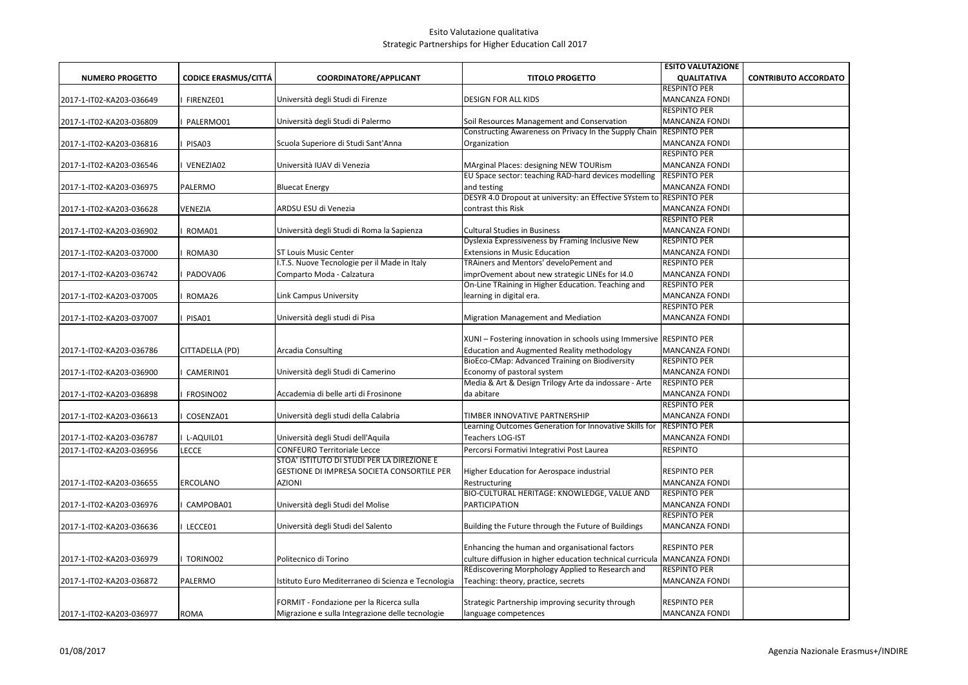|                          |                             |                                                    |                                                                      | <b>ESITO VALUTAZIONE</b>                     |                             |
|--------------------------|-----------------------------|----------------------------------------------------|----------------------------------------------------------------------|----------------------------------------------|-----------------------------|
| <b>NUMERO PROGETTO</b>   | <b>CODICE ERASMUS/CITTÁ</b> | COORDINATORE/APPLICANT                             | <b>TITOLO PROGETTO</b>                                               | <b>QUALITATIVA</b>                           | <b>CONTRIBUTO ACCORDATO</b> |
|                          |                             |                                                    |                                                                      | <b>RESPINTO PER</b>                          |                             |
| 2017-1-IT02-KA203-036649 | FIRENZE01                   | Università degli Studi di Firenze                  | <b>DESIGN FOR ALL KIDS</b>                                           | <b>MANCANZA FONDI</b>                        |                             |
|                          |                             |                                                    |                                                                      | <b>RESPINTO PER</b>                          |                             |
| 2017-1-IT02-KA203-036809 | PALERMO01                   | Università degli Studi di Palermo                  | Soil Resources Management and Conservation                           | <b>MANCANZA FONDI</b>                        |                             |
|                          |                             |                                                    | Constructing Awareness on Privacy In the Supply Chain                | <b>RESPINTO PER</b>                          |                             |
| 2017-1-IT02-KA203-036816 | PISA03                      | Scuola Superiore di Studi Sant'Anna                | Organization                                                         | MANCANZA FONDI                               |                             |
|                          |                             |                                                    |                                                                      | <b>RESPINTO PER</b>                          |                             |
| 2017-1-IT02-KA203-036546 | VENEZIA02                   | Università IUAV di Venezia                         | MArginal Places: designing NEW TOURism                               | <b>MANCANZA FONDI</b>                        |                             |
|                          |                             |                                                    | EU Space sector: teaching RAD-hard devices modelling                 | <b>RESPINTO PER</b>                          |                             |
| 2017-1-IT02-KA203-036975 | PALERMO                     | <b>Bluecat Energy</b>                              | and testing                                                          | <b>MANCANZA FONDI</b>                        |                             |
|                          |                             |                                                    | DESYR 4.0 Dropout at university: an Effective SYstem to RESPINTO PER |                                              |                             |
| 2017-1-IT02-KA203-036628 | VENEZIA                     | ARDSU ESU di Venezia                               | contrast this Risk                                                   | <b>MANCANZA FONDI</b>                        |                             |
|                          |                             |                                                    |                                                                      | <b>RESPINTO PER</b>                          |                             |
| 2017-1-IT02-KA203-036902 | ROMA01                      | Università degli Studi di Roma la Sapienza         | <b>Cultural Studies in Business</b>                                  | <b>MANCANZA FONDI</b>                        |                             |
|                          |                             |                                                    | Dyslexia Expressiveness by Framing Inclusive New                     | <b>RESPINTO PER</b>                          |                             |
| 2017-1-IT02-KA203-037000 | ROMA30                      | <b>ST Louis Music Center</b>                       | <b>Extensions in Music Education</b>                                 | <b>MANCANZA FONDI</b>                        |                             |
|                          |                             | I.T.S. Nuove Tecnologie per il Made in Italy       | TRAiners and Mentors' develoPement and                               | <b>RESPINTO PER</b>                          |                             |
| 2017-1-IT02-KA203-036742 | PADOVA06                    | Comparto Moda - Calzatura                          | imprOvement about new strategic LINEs for I4.0                       | MANCANZA FONDI                               |                             |
|                          |                             |                                                    | On-Line TRaining in Higher Education. Teaching and                   | <b>RESPINTO PER</b>                          |                             |
| 2017-1-IT02-KA203-037005 | ROMA26                      | Link Campus University                             | learning in digital era.                                             | <b>MANCANZA FONDI</b><br><b>RESPINTO PER</b> |                             |
|                          |                             |                                                    |                                                                      |                                              |                             |
| 2017-1-IT02-KA203-037007 | PISA01                      | Università degli studi di Pisa                     | Migration Management and Mediation                                   | <b>MANCANZA FONDI</b>                        |                             |
|                          |                             |                                                    | XUNI - Fostering innovation in schools using Immersive RESPINTO PER  |                                              |                             |
| 2017-1-IT02-KA203-036786 | CITTADELLA (PD)             | Arcadia Consulting                                 | <b>Education and Augmented Reality methodology</b>                   | <b>MANCANZA FONDI</b>                        |                             |
|                          |                             |                                                    | BioEco-CMap: Advanced Training on Biodiversity                       | <b>RESPINTO PER</b>                          |                             |
| 2017-1-IT02-KA203-036900 | CAMERIN01                   | Università degli Studi di Camerino                 | Economy of pastoral system                                           | <b>MANCANZA FONDI</b>                        |                             |
|                          |                             |                                                    | Media & Art & Design Trilogy Arte da indossare - Arte                | <b>RESPINTO PER</b>                          |                             |
| 2017-1-IT02-KA203-036898 | FROSINO02                   | Accademia di belle arti di Frosinone               | da abitare                                                           | MANCANZA FONDI                               |                             |
|                          |                             |                                                    |                                                                      | <b>RESPINTO PER</b>                          |                             |
| 2017-1-IT02-KA203-036613 | COSENZA01                   | Università degli studi della Calabria              | TIMBER INNOVATIVE PARTNERSHIP                                        | <b>MANCANZA FONDI</b>                        |                             |
|                          |                             |                                                    | Learning Outcomes Generation for Innovative Skills for               | <b>RESPINTO PER</b>                          |                             |
| 2017-1-IT02-KA203-036787 | L-AQUIL01                   | Università degli Studi dell'Aquila                 | Teachers LOG-IST                                                     | <b>MANCANZA FONDI</b>                        |                             |
| 2017-1-IT02-KA203-036956 | LECCE                       | <b>CONFEURO Territoriale Lecce</b>                 | Percorsi Formativi Integrativi Post Laurea                           | <b>RESPINTO</b>                              |                             |
|                          |                             | STOA' ISTITUTO DI STUDI PER LA DIREZIONE E         |                                                                      |                                              |                             |
|                          |                             | GESTIONE DI IMPRESA SOCIETA CONSORTILE PER         | Higher Education for Aerospace industrial                            | <b>RESPINTO PER</b>                          |                             |
| 2017-1-IT02-KA203-036655 | ERCOLANO                    | <b>AZIONI</b>                                      | Restructuring                                                        | <b>MANCANZA FONDI</b>                        |                             |
|                          |                             |                                                    | BIO-CULTURAL HERITAGE: KNOWLEDGE, VALUE AND                          | <b>RESPINTO PER</b>                          |                             |
| 2017-1-IT02-KA203-036976 | CAMPOBA01                   | Università degli Studi del Molise                  | PARTICIPATION                                                        | MANCANZA FONDI                               |                             |
|                          |                             |                                                    |                                                                      | <b>RESPINTO PER</b>                          |                             |
| 2017-1-IT02-KA203-036636 | LECCE01                     | Università degli Studi del Salento                 | Building the Future through the Future of Buildings                  | <b>MANCANZA FONDI</b>                        |                             |
|                          |                             |                                                    |                                                                      |                                              |                             |
|                          |                             |                                                    | Enhancing the human and organisational factors                       | <b>RESPINTO PER</b>                          |                             |
| 2017-1-IT02-KA203-036979 | TORINO02                    | Politecnico di Torino                              | culture diffusion in higher education technical curricula            | MANCANZA FONDI                               |                             |
|                          |                             |                                                    | REdiscovering Morphology Applied to Research and                     | <b>RESPINTO PER</b>                          |                             |
| 2017-1-IT02-KA203-036872 | PALERMO                     | Istituto Euro Mediterraneo di Scienza e Tecnologia | Teaching: theory, practice, secrets                                  | <b>MANCANZA FONDI</b>                        |                             |
|                          |                             |                                                    |                                                                      |                                              |                             |
|                          |                             | FORMIT - Fondazione per la Ricerca sulla           | Strategic Partnership improving security through                     | <b>RESPINTO PER</b>                          |                             |
| 2017-1-IT02-KA203-036977 | <b>ROMA</b>                 | Migrazione e sulla Integrazione delle tecnologie   | language competences                                                 | <b>MANCANZA FONDI</b>                        |                             |